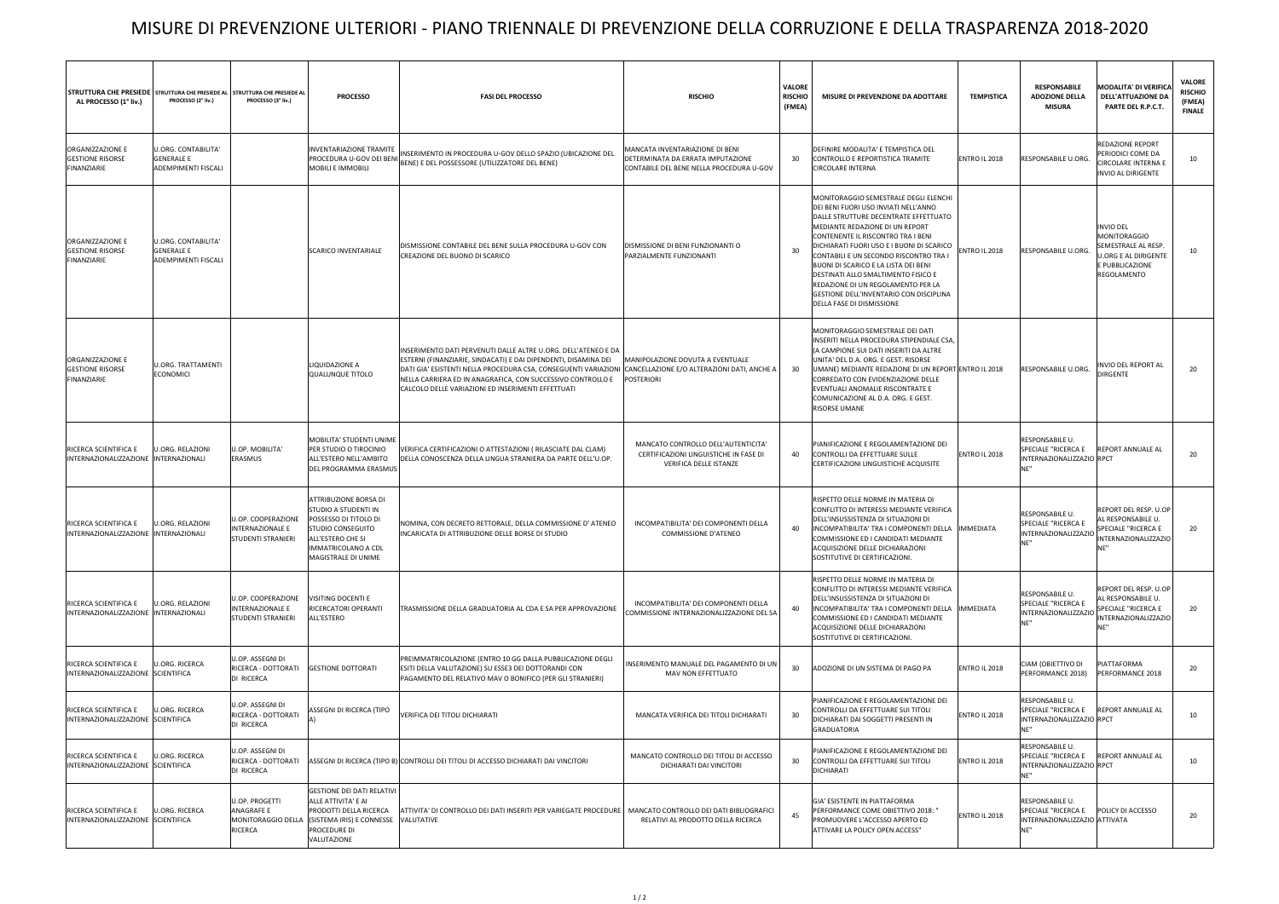## MISURE DI PREVENZIONE ULTERIORI - PIANO TRIENNALE DI PREVENZIONE DELLA CORRUZIONE E DELLA TRASPARENZA 2018-2020

| STRUTTURA CHE PRESIEDE   STRUTTURA CHE PRESIEDE AL   STRUTTURA CHE PRESIEDE AL<br>AL PROCESSO (1° liv.) | PROCESSO (2° liv.)                                                            | PROCESSO (3° liv.)                                                  | <b>PROCESSO</b>                                                                                                                                                                     | <b>FASI DEL PROCESSO</b>                                                                                                                                                                                                                                                                                                  | <b>RISCHIO</b>                                                                                                   | VALORE<br><b>RISCHIO</b><br>(FMEA) | MISURE DI PREVENZIONE DA ADOTTARE                                                                                                                                                                                                                                                                                                                                                                                                                                                   | <b>TEMPISTICA</b>    | <b>RESPONSABILE</b><br><b>ADOZIONE DELLA</b><br><b>MISURA</b>                     | <b>MODALITA' DI VERIFICA</b><br><b>DELL'ATTUAZIONE DA</b><br>PARTE DEL R.P.C.T.                                                                                          | <b>VALORE</b><br><b>RISCHIO</b><br>(FMEA)<br><b>FINALE</b> |
|---------------------------------------------------------------------------------------------------------|-------------------------------------------------------------------------------|---------------------------------------------------------------------|-------------------------------------------------------------------------------------------------------------------------------------------------------------------------------------|---------------------------------------------------------------------------------------------------------------------------------------------------------------------------------------------------------------------------------------------------------------------------------------------------------------------------|------------------------------------------------------------------------------------------------------------------|------------------------------------|-------------------------------------------------------------------------------------------------------------------------------------------------------------------------------------------------------------------------------------------------------------------------------------------------------------------------------------------------------------------------------------------------------------------------------------------------------------------------------------|----------------------|-----------------------------------------------------------------------------------|--------------------------------------------------------------------------------------------------------------------------------------------------------------------------|------------------------------------------------------------|
| ORGANIZZAZIONE E<br><b>GESTIONE RISORSE</b><br>FINANZIARIE                                              | <b>U.ORG. CONTABILITA'</b><br><b>GENERALE E</b><br>ADEMPIMENTI FISCALI        |                                                                     | <b>INVENTARIAZIONE TRAMITE</b>                                                                                                                                                      | INSERIMENTO IN PROCEDURA U-GOV DELLO SPAZIO (UBICAZIONE DEL<br>PROCEDURA U-GOV DEI BENI BENE) E DEL POSSESSORE (UTILIZZATORE DEL BENE)                                                                                                                                                                                    | MANCATA INVENTARIAZIONE DI BENI<br>DETERMINATA DA ERRATA IMPUTAZIONE<br>CONTABILE DEL BENE NELLA PROCEDURA U-GOV | 30                                 | DEFINIRE MODALITA' E TEMPISTICA DEL<br>CONTROLLO E REPORTISTICA TRAMITE<br>CIRCOLARE INTERNA                                                                                                                                                                                                                                                                                                                                                                                        | ENTRO IL 2018        | RESPONSABILE U.ORG.                                                               | REDAZIONE REPORT<br><b>PERIODICI COME DA</b><br><b>CIRCOLARE INTERNA E</b><br><b>INVIO AL DIRIGENTE</b>                                                                  | 10                                                         |
| ORGANIZZAZIONE E<br><b>GESTIONE RISORSE</b><br>FINANZIARIE                                              | <b>U.ORG. CONTABILITA'</b><br><b>GENERALE E</b><br><b>ADEMPIMENTI FISCALI</b> |                                                                     | <b>SCARICO INVENTARIALE</b>                                                                                                                                                         | DISMISSIONE CONTABILE DEL BENE SULLA PROCEDURA U-GOV CON<br>CREAZIONE DEL BUONO DI SCARICO                                                                                                                                                                                                                                | DISMISSIONE DI BENI FUNZIONANTI O<br>PARZIALMENTE FUNZIONANTI                                                    | 30                                 | MONITORAGGIO SEMESTRALE DEGLI ELENCHI<br>DEI BENI FUORI USO INVIATI NELL'ANNO<br>DALLE STRUTTURE DECENTRATE EFFETTUATO<br>MEDIANTE REDAZIONE DI UN REPORT<br>CONTENENTE IL RISCONTRO TRA I BENI<br>DICHIARATI FUORI USO E I BUONI DI SCARICO<br>CONTABILI E UN SECONDO RISCONTRO TRA I<br>BUONI DI SCARICO E LA LISTA DEI BENI<br>DESTINATI ALLO SMALTIMENTO FISICO E<br>REDAZIONE DI UN REGOLAMENTO PER LA<br>GESTIONE DELL'INVENTARIO CON DISCIPLINA<br>DELLA FASE DI DISMISSIONE | <b>ENTRO IL 2018</b> | RESPONSABILE U.ORG.                                                               | <b>INVIO DEL</b><br><b>MONITORAGGIO</b><br>SEMESTRALE AL RESP.<br><b>U.ORG E AL DIRIGENTE</b><br>E PUBBLICAZIONE<br>REGOLAMENTO                                          | 10                                                         |
| ORGANIZZAZIONE E<br><b>GESTIONE RISORSE</b><br>FINANZIARIE                                              | <b>U.ORG. TRATTAMENTI</b><br><b>ECONOMICI</b>                                 |                                                                     | LIQUIDAZIONE A<br>QUALUNQUE TITOLO                                                                                                                                                  | INSERIMENTO DATI PERVENUTI DALLE ALTRE U.ORG. DELL'ATENEO E DA<br>ESTERNI (FINANZIARIE, SINDACATI) E DAI DIPENDENTI, DISAMINA DEI<br>DATI GIA' ESISTENTI NELLA PROCEDURA CSA, CONSEGUENTI VARIAZIONI<br>NELLA CARRIERA ED IN ANAGRAFICA, CON SUCCESSIVO CONTROLLO E<br>CALCOLO DELLE VARIAZIONI ED INSERIMENTI EFFETTUATI | MANIPOLAZIONE DOVUTA A EVENTUALE<br>CANCELLAZIONE E/O ALTERAZIONI DATI, ANCHE A<br>POSTERIORI                    | - 30                               | MONITORAGGIO SEMESTRALE DEI DATI<br>INSERITI NELLA PROCEDURA STIPENDIALE CSA<br>(A CAMPIONE SUI DATI INSERITI DA ALTRE<br>UNITA' DEL D.A. ORG. E GEST. RISORSE<br>UMANE) MEDIANTE REDAZIONE DI UN REPORT ENTRO IL 2018<br>CORREDATO CON EVIDENZIAZIONE DELLE<br>EVENTUALI ANOMALIE RISCONTRATE E<br>COMUNICAZIONE AL D.A. ORG. E GEST.<br>RISORSE UMANE                                                                                                                             |                      | RESPONSABILE U.ORG.                                                               | INVIO DEL REPORT AL<br><b>DIRGENTE</b>                                                                                                                                   | 20                                                         |
| RICERCA SCIENTIFICA E<br>INTERNAZIONALIZZAZIONE  INTERNAZIONALI                                         | <b>U.ORG. RELAZIONI</b>                                                       | U.OP. MOBILITA'<br>ERASMUS                                          | MOBILITA' STUDENTI UNIME<br>PER STUDIO O TIROCINIO<br>ALL'ESTERO NELL'AMBITO<br>DEL PROGRAMMA ERASMUS                                                                               | VERIFICA CERTIFICAZIONI O ATTESTAZIONI (RILASCIATE DAL CLAM)<br>DELLA CONOSCENZA DELLA LINGUA STRANIERA DA PARTE DELL'U.OP.                                                                                                                                                                                               | MANCATO CONTROLLO DELL'AUTENTICITA'<br>CERTIFICAZIONI LINGUISTICHE IN FASE DI<br>VERIFICA DELLE ISTANZE          | 40                                 | PIANIFICAZIONE E REGOLAMENTAZIONE DEI<br>CONTROLLI DA EFFETTUARE SULLE<br>CERTIFICAZIONI LINGUISTICHE ACQUISITE                                                                                                                                                                                                                                                                                                                                                                     | ENTRO IL 2018        | RESPONSABILE U.<br>SPECIALE "RICERCA E<br>INTERNAZIONALIZZAZIO RPCT               | <b>REPORT ANNUALE AL</b>                                                                                                                                                 | 20                                                         |
| RICERCA SCIENTIFICA E<br>INTERNAZIONALIZZAZIONE INTERNAZIONALI                                          | U.ORG. RELAZIONI                                                              | U.OP. COOPERAZIONE<br>INTERNAZIONALE E<br><b>STUDENTI STRANIERI</b> | ATTRIBUZIONE BORSA DI<br>STUDIO A STUDENTI IN<br>POSSESSO DI TITOLO DI<br><b>STUDIO CONSEGUITO</b><br>ALL'ESTERO CHE SI<br><b>IMMATRICOLANO A CDL</b><br>MAGISTRALE DI UNIME        | NOMINA, CON DECRETO RETTORALE, DELLA COMMISSIONE D'ATENEO<br>INCARICATA DI ATTRIBUZIONE DELLE BORSE DI STUDIO                                                                                                                                                                                                             | INCOMPATIBILITA' DEI COMPONENTI DELLA<br>COMMISSIONE D'ATENEO                                                    | 40                                 | RISPETTO DELLE NORME IN MATERIA DI<br>CONFLITTO DI INTERESSI MEDIANTE VERIFICA<br>DELL'INSUSSISTENZA DI SITUAZIONI DI<br>INCOMPATIBILITA' TRA I COMPONENTI DELLA  IMMEDIATA<br>COMMISSIONE ED I CANDIDATI MEDIANTE<br>ACQUISIZIONE DELLE DICHIARAZIONI<br>SOSTITUTIVE DI CERTIFICAZIONI.                                                                                                                                                                                            |                      | RESPONSABILE U.<br>SPECIALE "RICERCA E                                            | REPORT DEL RESP. U.OP<br>AL RESPONSABILE U.<br>SPECIALE "RICERCA E<br>INTERNAZIONALIZZAZIO IN ESEREZIONALIZZAZIO I<br>INTERNAZIONALIZZAZIO INTERNAZIONALIZZAZIO I<br>NE" | 20                                                         |
| RICERCA SCIENTIFICA E<br>INTERNAZIONALIZZAZIONE INTERNAZIONALI                                          | <b>U.ORG. RELAZIONI</b>                                                       | U.OP. COOPERAZIONE<br><b>INTERNAZIONALE E</b><br>STUDENTI STRANIERI | VISITING DOCENTI E<br>RICERCATORI OPERANTI<br>ALL'ESTERO                                                                                                                            | TRASMISSIONE DELLA GRADUATORIA AL CDA E SA PER APPROVAZIONE                                                                                                                                                                                                                                                               | INCOMPATIBILITA' DEI COMPONENTI DELLA<br>COMMISSIONE INTERNAZIONALIZZAZIONE DEL SA                               | 40                                 | RISPETTO DELLE NORME IN MATERIA DI<br>CONFLITTO DI INTERESSI MEDIANTE VERIFICA<br>DELL'INSUSSISTENZA DI SITUAZIONI DI<br>INCOMPATIBILITA' TRA I COMPONENTI DELLA  IMMEDIATA<br>COMMISSIONE ED I CANDIDATI MEDIANTE<br>ACQUISIZIONE DELLE DICHIARAZIONI<br>SOSTITUTIVE DI CERTIFICAZIONI.                                                                                                                                                                                            |                      | RESPONSABILE U.<br>SPECIALE "RICERCA E<br>INTERNAZIONALIZZAZIO<br>NF"             | REPORT DEL RESP. U.OP<br>AL RESPONSABILE U.<br>SPECIALE "RICERCA E<br><b>INTERNAZIONALIZZAZIO</b><br>NE"                                                                 | 20                                                         |
| RICERCA SCIENTIFICA E<br>INTERNAZIONALIZZAZIONE SCIENTIFICA                                             | <b>U.ORG. RICERCA</b>                                                         | U.OP. ASSEGNI DI<br>RICERCA - DOTTORATI<br>DI RICERCA               | <b>GESTIONE DOTTORATI</b>                                                                                                                                                           | PREIMMATRICOLAZIONE (ENTRO 10 GG DALLA PUBBLICAZIONE DEGLI<br>ESITI DELLA VALUTAZIONE) SU ESSE3 DEI DOTTORANDI CON<br>PAGAMENTO DEL RELATIVO MAV O BONIFICO (PER GLI STRANIERI)                                                                                                                                           | INSERIMENTO MANUALE DEL PAGAMENTO DI UN<br>MAV NON EFFETTUATO                                                    | 30                                 | ADOZIONE DI UN SISTEMA DI PAGO PA                                                                                                                                                                                                                                                                                                                                                                                                                                                   | <b>ENTRO IL 2018</b> | CIAM (OBIETTIVO DI<br>PERFORMANCE 2018)                                           | PIATTAFORMA<br>PERFORMANCE 2018                                                                                                                                          | 20                                                         |
| RICERCA SCIENTIFICA E<br>INTERNAZIONALIZZAZIONE SCIENTIFICA                                             | <b>U.ORG. RICERCA</b>                                                         | U.OP. ASSEGNI DI<br>RICERCA - DOTTORATI<br>DI RICERCA               | ASSEGNI DI RICERCA (TIPO                                                                                                                                                            | VERIFICA DEI TITOLI DICHIARATI                                                                                                                                                                                                                                                                                            | MANCATA VERIFICA DEI TITOLI DICHIARATI                                                                           | 30                                 | PIANIFICAZIONE E REGOLAMENTAZIONE DEI<br>CONTROLLI DA EFFETTUARE SUI TITOLI<br>DICHIARATI DAI SOGGETTI PRESENTI IN<br><b>GRADUATORIA</b>                                                                                                                                                                                                                                                                                                                                            | <b>ENTRO IL 2018</b> | RESPONSABILE U.<br>SPECIALE "RICERCA E<br>INTERNAZIONALIZZAZIO RPCT<br>NE"        | <b>REPORT ANNUALE AL</b>                                                                                                                                                 | 10                                                         |
| RICERCA SCIENTIFICA E<br>INTERNAZIONALIZZAZIONE SCIENTIFICA                                             | <b>U.ORG. RICERCA</b>                                                         | U.OP. ASSEGNI DI<br>RICERCA - DOTTORATI<br>DI RICERCA               |                                                                                                                                                                                     | ASSEGNI DI RICERCA (TIPO B) CONTROLLI DEI TITOLI DI ACCESSO DICHIARATI DAI VINCITORI                                                                                                                                                                                                                                      | MANCATO CONTROLLO DEI TITOLI DI ACCESSO<br>DICHIARATI DAI VINCITORI                                              | 30                                 | PIANIFICAZIONE E REGOLAMENTAZIONE DEI<br>CONTROLLI DA EFFETTUARE SUI TITOLI<br>DICHIARATI                                                                                                                                                                                                                                                                                                                                                                                           | ENTRO IL 2018        | RESPONSABILE U.<br><b>SPECIALE "RICERCA E</b><br>INTERNAZIONALIZZAZIO RPCT<br>NE" | <b>REPORT ANNUALE AL</b>                                                                                                                                                 | 10                                                         |
| RICERCA SCIENTIFICA E<br>INTERNAZIONALIZZAZIONE SCIENTIFICA                                             | <b>U.ORG. RICERCA</b>                                                         | <b>U.OP. PROGETTI</b><br><b>ANAGRAFE E</b><br><b>RICERCA</b>        | <b>GESTIONE DEI DATI RELATIVI</b><br>ALLE ATTIVITA' E AI<br>PRODOTTI DELLA RICERCA<br>MONITORAGGIO DELLA (SISTEMA IRIS) E CONNESSE VALUTATIVE<br><b>PROCEDURE DI</b><br>VALUTAZIONE | ATTIVITA' DI CONTROLLO DEI DATI INSERITI PER VARIEGATE PROCEDURE   MANCATO CONTROLLO DEI DATI BIBLIOGRAFICI                                                                                                                                                                                                               | RELATIVI AL PRODOTTO DELLA RICERCA                                                                               | 45                                 | GIA' ESISTENTE IN PIATTAFORMA<br>PERFORMANCE COME OBIETTIVO 2018: "<br>PROMUOVERE L'ACCESSO APERTO ED<br>ATTIVARE LA POLICY OPEN ACCESS"                                                                                                                                                                                                                                                                                                                                            | <b>ENTRO IL 2018</b> | RESPONSABILE U.<br>SPECIALE "RICERCA E<br>INTERNAZIONALIZZAZIO ATTIVATA<br>NE"    | POLICY DI ACCESSO                                                                                                                                                        | 20                                                         |